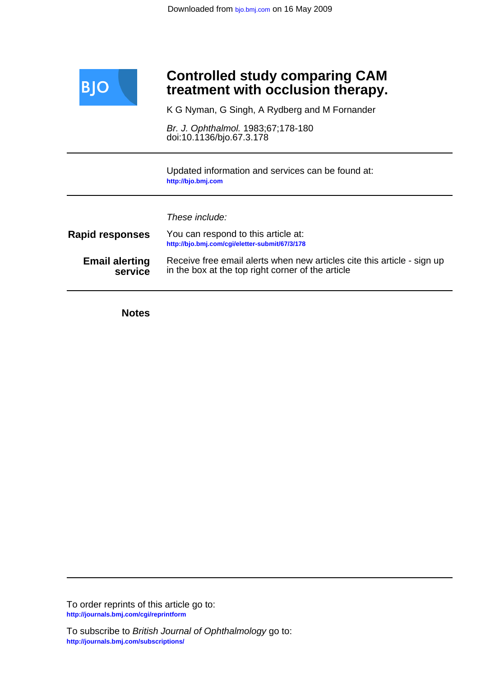

# **treatment with occlusion therapy. Controlled study comparing CAM**

K G Nyman, G Singh, A Rydberg and M Fornander

doi:10.1136/bjo.67.3.178 Br. J. Ophthalmol. 1983;67;178-180

**<http://bjo.bmj.com>** Updated information and services can be found at:

These include:

| <b>Rapid responses</b> | You can respond to this article at:<br>http://bjo.bmj.com/cqi/eletter-submit/67/3/178 |
|------------------------|---------------------------------------------------------------------------------------|
| <b>Email alerting</b>  | Receive free email alerts when new articles cite this article - sign up               |
| service                | in the box at the top right corner of the article                                     |

**Notes**

**<http://journals.bmj.com/cgi/reprintform>** To order reprints of this article go to: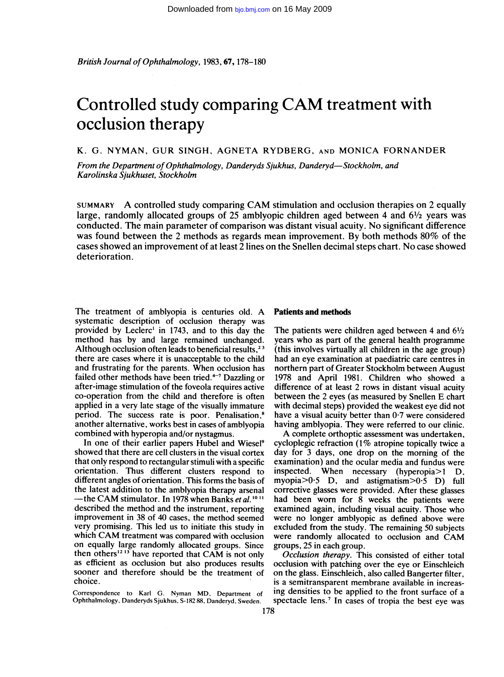British Journal of Ophthalmology, 1983, 67, 178-180

# Controlled study comparing CAM treatment with occlusion therapy

K. G. NYMAN, GUR SINGH, AGNETA RYDBERG, AND MONICA FORNANDER

From the Department of Ophthalmology, Danderyds Sjukhus, Danderyd-Stockholm, and Karolinska Sjukhuset, Stockholm

SUMMARY A controlled study comparing CAM stimulation and occlusion therapies on <sup>2</sup> equally large, randomly allocated groups of 25 amblyopic children aged between 4 and  $6\frac{1}{2}$  years was conducted. The main parameter of comparison was distant visual acuity. No significant difference was found between the <sup>2</sup> methods as regards mean improvement. By both methods 80% of the cases showed an improvement of at least <sup>2</sup> lines on the Snellen decimal steps chart. No case showed deterioration.

The treatment of amblyopia is centuries old. A systematic description of occlusion therapy was provided by Leclerc' in 1743, and to this day the method has by and large remained unchanged. Although occlusion often leads to beneficial results,<sup>23</sup> there are cases where it is unacceptable to the child and frustrating for the parents. When occlusion has failed other methods have been tried.<sup>4-7</sup> Dazzling or after-image stimulation of the foveola requires active co-operation from the child and therefore is often applied in a very late stage of the visually immature period. The success rate is poor. Penalisation,<sup>8</sup> another alternative, works best in cases of amblyopia combined with hyperopia and/or nystagmus.

In one of their earlier papers Hubel and Wiesel<sup>9</sup> showed that there are cell clusters in the visual cortex that only respond to rectangular stimuli with a specific orientation. Thus different clusters respond to different angles of orientation. This forms the basis of the latest addition to the amblyopia therapy arsenal -the CAM stimulator. In 1978 when Banks et al.<sup>1011</sup> described the method and the instrument, reporting improvement in 38 of 40 cases, the method seemed very promising. This led us to initiate this study in which CAM treatment was compared with occlusion on equally large randomly allocated groups. Since then others<sup>12 13</sup> have reported that CAM is not only as efficient as occlusion but also produces results sooner and therefore should be the treatment of choice.

Correspondence to Karl G. Nyman MD, Department of Ophthalmology, Danderyds Sjukhus, S-182 88, Danderyd. Sweden.

### Patients and methods

The patients were children aged between 4 and  $6\frac{1}{2}$ years who as part of the general health programme (this involves virtually all children in the age group) had an eye examination at paediatric care centres in northern part of Greater Stockholm between August 1978 and April 1981. Children who showed a difference of at least 2 rows in distant visual acuity between the 2 eyes (as measured by Snellen E chart with decimal steps) provided the weakest eye did not have a visual acuity better than 0-7 were considered having amblyopia. They were referred to our clinic.

A complete orthoptic assessment was undertaken, cycloplegic refraction (1% atropine topically twice a day for 3 days, one drop on the morning of the examination) and the ocular media and fundus were inspected. When necessary (hyperopia>1 D, myopia $>0.5$  D, and astigmatism $>0.5$  D) full corrective glasses were provided. After these glasses had been worn for 8 weeks the patients were examined again, including visual acuity. Those who were no longer amblyopic as defined above were excluded from the study. The remaining 50 subjects were randomly allocated to occlusion and CAM groups, 25 in each group.

Occlusion therapy. This consisted of either total occlusion with patching over the eye or Einschleich on the glass. Einschleich, also called Bangerter filter, is a semitransparent membrane available in increasing densities to be applied to the front surface of a spectacle lens.<sup>7</sup> In cases of tropia the best eye was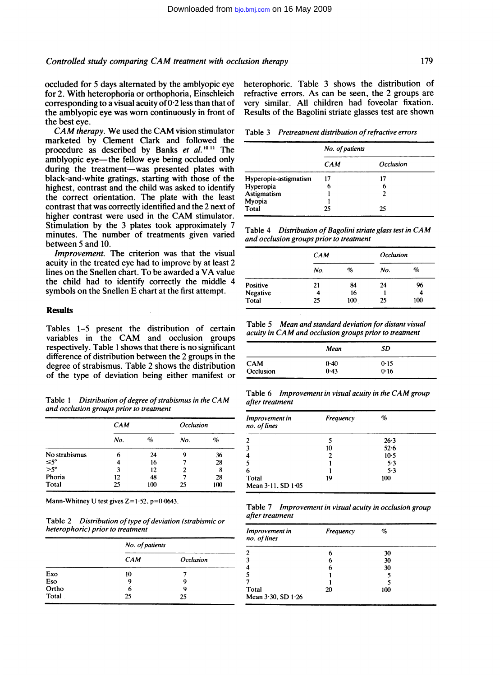occluded for 5 days alternated by the amblyopic eye for 2. With heterophoria or orthophoria, Einschleich corresponding to a visual acuity of  $0.2$  less than that of the amblyopic eye was worn continuously in front of the best eye.

CAM therapy. We used the CAM vision stimulator marketed by Clement Clark and followed the procedure as described by Banks et al.<sup>1011</sup> The amblyopic eye—the fellow eye being occluded only during the treatment-was presented plates with black-and-white gratings, starting with those of the highest, contrast and the child was asked to identify the correct orientation. The plate with the least contrast that was correctly identified and the 2 next of higher contrast were used in the CAM stimulator. Stimulation by the 3 plates took approximately 7 minutes. The number of treatments given varied between 5 and 10.

Improvement. The criterion was that the visual acuity in the treated eye had to improve by at least 2 lines on the Snellen chart. To be awarded <sup>a</sup> VA value the child had to identify correctly the middle 4 symbols on the Snellen E chart at the first attempt.

#### **Results**

Tables 1-5 present the distribution of certain variables in the CAM and occlusion groups respectively. Table <sup>1</sup> shows that there is no significant difference of distribution between the 2 groups in the degree of strabismus. Table 2 shows the distribution of the type of deviation being either manifest or

Table 1 Distribution of degree of strabismus in the CAM and occlusion groups prior to treatment

|                       | CAM |      | Occlusion |      |
|-----------------------|-----|------|-----------|------|
|                       | No. | $\%$ | No.       | $\%$ |
| No strabismus         | 6   | 24   | g         | 36   |
|                       |     | 16   |           | 28   |
| $\leq 5^\circ$<br>>5° | 3   | 12   |           | 8    |
| Phoria                | 12  | 48   |           | 28   |
| <b>Total</b>          | 25  | 100  | 25        | 100  |

Mann-Whitney U test gives  $Z = 1.52$ ,  $p = 0.0643$ .

Table 2 Distribution of type of deviation (strabismic or heterophoric) prior to treatment

|       | No. of patients |           |
|-------|-----------------|-----------|
|       | CAM             | Occlusion |
| Exo   | 10              |           |
| Eso   | q               | q         |
| Ortho | 6               | q         |
| Total | 25              | 25        |

heterophoric. Table 3 shows the distribution of refractive errors. As can be seen, the 2 groups are very similar. All children had foveolar fixation. Results of the Bagolini striate glasses test are shown

Table 3 Pretreatment distribution of refractive errors

|                       | No. of patients |           |
|-----------------------|-----------------|-----------|
|                       | <b>CAM</b>      | Occlusion |
| Hyperopia-astigmatism | 17              | 17        |
| Hyperopia             | 6               | 6         |
| Astigmatism           |                 | 2         |
|                       |                 |           |
| Myopia<br>Total       | 25              | 25        |

Table <sup>4</sup> Distribution of Bagolini striate glass test in CAM and occlusion groups prior to treatment

|          | CAM |     | <i><b>Occlusion</b></i> |     |
|----------|-----|-----|-------------------------|-----|
|          | No. | %   | No.                     | %   |
| Positive | 21  | 84  | 24                      | 96  |
| Negative | 4   | 16  |                         | 4   |
| Total    | 25  | 100 | 25                      | 100 |

Table 5 Mean and standard deviation for distant visual acuity in CAM and occlusion groups prior to treatment

|            | Mean | SD   |  |
|------------|------|------|--|
| <b>CAM</b> | 0.40 | 0.15 |  |
| Occlusion  | 0.43 | 0.16 |  |

Table 6 Improvement in visual acuity in the CAM group after treatment

| Improvement in<br>no. of lines   | Frequency | %      |  |
|----------------------------------|-----------|--------|--|
|                                  |           | 26.3   |  |
|                                  | 10        | 52.6   |  |
|                                  | 2         | $10-5$ |  |
|                                  |           | 5.3    |  |
| 6                                |           | 5.3    |  |
| Total<br>Mean $3.11$ , SD $1.05$ | 19        | 100    |  |

Table 7 Improvement in visual acuity in occlusioh group after treatment

| Improvement in<br>no. of lines | Frequency | %   |  |
|--------------------------------|-----------|-----|--|
| 2                              | 6         | 30  |  |
| 3                              | 6         | 30  |  |
| $\overline{\mathbf{4}}$        | 6         | 30  |  |
| 5                              |           |     |  |
|                                |           |     |  |
| Total                          | 20        | 100 |  |
| Mean 3.30, SD 1.26             |           |     |  |